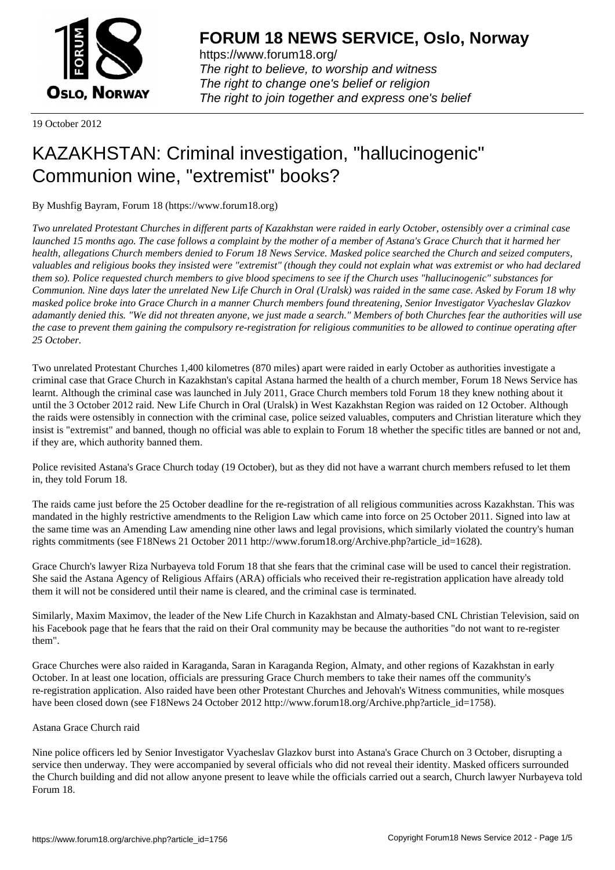

https://www.forum18.org/ The right to believe, to worship and witness The right to change one's belief or religion [The right to join together a](https://www.forum18.org/)nd express one's belief

19 October 2012

# [KAZAKHSTAN:](https://www.forum18.org) Criminal investigation, "hallucinogenic" Communion wine, "extremist" books?

By Mushfig Bayram, Forum 18 (https://www.forum18.org)

*Two unrelated Protestant Churches in different parts of Kazakhstan were raided in early October, ostensibly over a criminal case launched 15 months ago. The case follows a complaint by the mother of a member of Astana's Grace Church that it harmed her health, allegations Church members denied to Forum 18 News Service. Masked police searched the Church and seized computers, valuables and religious books they insisted were "extremist" (though they could not explain what was extremist or who had declared them so). Police requested church members to give blood specimens to see if the Church uses "hallucinogenic" substances for Communion. Nine days later the unrelated New Life Church in Oral (Uralsk) was raided in the same case. Asked by Forum 18 why masked police broke into Grace Church in a manner Church members found threatening, Senior Investigator Vyacheslav Glazkov adamantly denied this. "We did not threaten anyone, we just made a search." Members of both Churches fear the authorities will use the case to prevent them gaining the compulsory re-registration for religious communities to be allowed to continue operating after 25 October.*

Two unrelated Protestant Churches 1,400 kilometres (870 miles) apart were raided in early October as authorities investigate a criminal case that Grace Church in Kazakhstan's capital Astana harmed the health of a church member, Forum 18 News Service has learnt. Although the criminal case was launched in July 2011, Grace Church members told Forum 18 they knew nothing about it until the 3 October 2012 raid. New Life Church in Oral (Uralsk) in West Kazakhstan Region was raided on 12 October. Although the raids were ostensibly in connection with the criminal case, police seized valuables, computers and Christian literature which they insist is "extremist" and banned, though no official was able to explain to Forum 18 whether the specific titles are banned or not and, if they are, which authority banned them.

Police revisited Astana's Grace Church today (19 October), but as they did not have a warrant church members refused to let them in, they told Forum 18.

The raids came just before the 25 October deadline for the re-registration of all religious communities across Kazakhstan. This was mandated in the highly restrictive amendments to the Religion Law which came into force on 25 October 2011. Signed into law at the same time was an Amending Law amending nine other laws and legal provisions, which similarly violated the country's human rights commitments (see F18News 21 October 2011 http://www.forum18.org/Archive.php?article\_id=1628).

Grace Church's lawyer Riza Nurbayeva told Forum 18 that she fears that the criminal case will be used to cancel their registration. She said the Astana Agency of Religious Affairs (ARA) officials who received their re-registration application have already told them it will not be considered until their name is cleared, and the criminal case is terminated.

Similarly, Maxim Maximov, the leader of the New Life Church in Kazakhstan and Almaty-based CNL Christian Television, said on his Facebook page that he fears that the raid on their Oral community may be because the authorities "do not want to re-register them".

Grace Churches were also raided in Karaganda, Saran in Karaganda Region, Almaty, and other regions of Kazakhstan in early October. In at least one location, officials are pressuring Grace Church members to take their names off the community's re-registration application. Also raided have been other Protestant Churches and Jehovah's Witness communities, while mosques have been closed down (see F18News 24 October 2012 http://www.forum18.org/Archive.php?article\_id=1758).

# Astana Grace Church raid

Nine police officers led by Senior Investigator Vyacheslav Glazkov burst into Astana's Grace Church on 3 October, disrupting a service then underway. They were accompanied by several officials who did not reveal their identity. Masked officers surrounded the Church building and did not allow anyone present to leave while the officials carried out a search, Church lawyer Nurbayeva told Forum 18.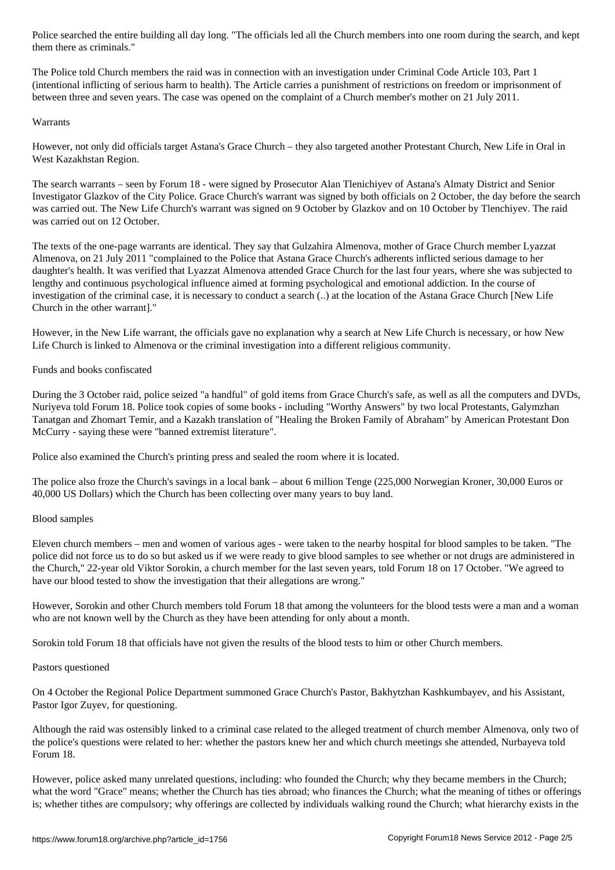The Police told Church members the raid was in connection with an investigation under Criminal Code Article 103, Part 1 (intentional inflicting of serious harm to health). The Article carries a punishment of restrictions on freedom or imprisonment of between three and seven years. The case was opened on the complaint of a Church member's mother on 21 July 2011.

### Warrants

However, not only did officials target Astana's Grace Church – they also targeted another Protestant Church, New Life in Oral in West Kazakhstan Region.

The search warrants – seen by Forum 18 - were signed by Prosecutor Alan Tlenichiyev of Astana's Almaty District and Senior Investigator Glazkov of the City Police. Grace Church's warrant was signed by both officials on 2 October, the day before the search was carried out. The New Life Church's warrant was signed on 9 October by Glazkov and on 10 October by Tlenchiyev. The raid was carried out on 12 October.

The texts of the one-page warrants are identical. They say that Gulzahira Almenova, mother of Grace Church member Lyazzat Almenova, on 21 July 2011 "complained to the Police that Astana Grace Church's adherents inflicted serious damage to her daughter's health. It was verified that Lyazzat Almenova attended Grace Church for the last four years, where she was subjected to lengthy and continuous psychological influence aimed at forming psychological and emotional addiction. In the course of investigation of the criminal case, it is necessary to conduct a search (..) at the location of the Astana Grace Church [New Life Church in the other warrant]."

However, in the New Life warrant, the officials gave no explanation why a search at New Life Church is necessary, or how New Life Church is linked to Almenova or the criminal investigation into a different religious community.

# Funds and books confiscated

During the 3 October raid, police seized "a handful" of gold items from Grace Church's safe, as well as all the computers and DVDs, Nuriyeva told Forum 18. Police took copies of some books - including "Worthy Answers" by two local Protestants, Galymzhan Tanatgan and Zhomart Temir, and a Kazakh translation of "Healing the Broken Family of Abraham" by American Protestant Don McCurry - saying these were "banned extremist literature".

Police also examined the Church's printing press and sealed the room where it is located.

The police also froze the Church's savings in a local bank – about 6 million Tenge (225,000 Norwegian Kroner, 30,000 Euros or 40,000 US Dollars) which the Church has been collecting over many years to buy land.

# Blood samples

Eleven church members – men and women of various ages - were taken to the nearby hospital for blood samples to be taken. "The police did not force us to do so but asked us if we were ready to give blood samples to see whether or not drugs are administered in the Church," 22-year old Viktor Sorokin, a church member for the last seven years, told Forum 18 on 17 October. "We agreed to have our blood tested to show the investigation that their allegations are wrong."

However, Sorokin and other Church members told Forum 18 that among the volunteers for the blood tests were a man and a woman who are not known well by the Church as they have been attending for only about a month.

Sorokin told Forum 18 that officials have not given the results of the blood tests to him or other Church members.

#### Pastors questioned

On 4 October the Regional Police Department summoned Grace Church's Pastor, Bakhytzhan Kashkumbayev, and his Assistant, Pastor Igor Zuyev, for questioning.

Although the raid was ostensibly linked to a criminal case related to the alleged treatment of church member Almenova, only two of the police's questions were related to her: whether the pastors knew her and which church meetings she attended, Nurbayeva told Forum 18.

However, police asked many unrelated questions, including: who founded the Church; why they became members in the Church; what the word "Grace" means; whether the Church has ties abroad; who finances the Church; what the meaning of tithes or offerings is; whether tithes are compulsory; why offerings are collected by individuals walking round the Church; what hierarchy exists in the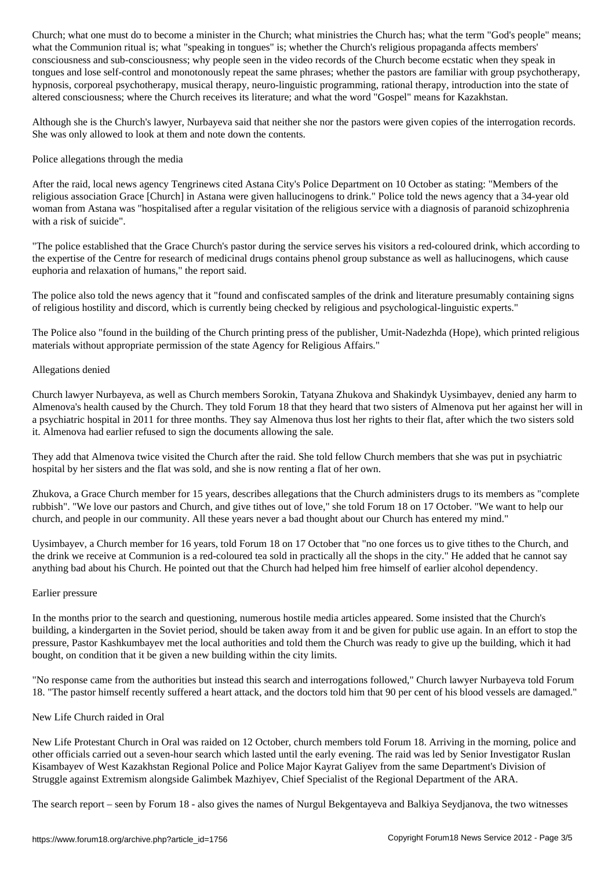where  $\sim$  speaking is what is where the Church's religious propaganda affects members  $\omega$  is a function  $\omega$ consciousness and sub-consciousness; why people seen in the video records of the Church become ecstatic when they speak in tongues and lose self-control and monotonously repeat the same phrases; whether the pastors are familiar with group psychotherapy, hypnosis, corporeal psychotherapy, musical therapy, neuro-linguistic programming, rational therapy, introduction into the state of altered consciousness; where the Church receives its literature; and what the word "Gospel" means for Kazakhstan.

Although she is the Church's lawyer, Nurbayeva said that neither she nor the pastors were given copies of the interrogation records. She was only allowed to look at them and note down the contents.

## Police allegations through the media

After the raid, local news agency Tengrinews cited Astana City's Police Department on 10 October as stating: "Members of the religious association Grace [Church] in Astana were given hallucinogens to drink." Police told the news agency that a 34-year old woman from Astana was "hospitalised after a regular visitation of the religious service with a diagnosis of paranoid schizophrenia with a risk of suicide".

"The police established that the Grace Church's pastor during the service serves his visitors a red-coloured drink, which according to the expertise of the Centre for research of medicinal drugs contains phenol group substance as well as hallucinogens, which cause euphoria and relaxation of humans," the report said.

The police also told the news agency that it "found and confiscated samples of the drink and literature presumably containing signs of religious hostility and discord, which is currently being checked by religious and psychological-linguistic experts."

The Police also "found in the building of the Church printing press of the publisher, Umit-Nadezhda (Hope), which printed religious materials without appropriate permission of the state Agency for Religious Affairs."

### Allegations denied

Church lawyer Nurbayeva, as well as Church members Sorokin, Tatyana Zhukova and Shakindyk Uysimbayev, denied any harm to Almenova's health caused by the Church. They told Forum 18 that they heard that two sisters of Almenova put her against her will in a psychiatric hospital in 2011 for three months. They say Almenova thus lost her rights to their flat, after which the two sisters sold it. Almenova had earlier refused to sign the documents allowing the sale.

They add that Almenova twice visited the Church after the raid. She told fellow Church members that she was put in psychiatric hospital by her sisters and the flat was sold, and she is now renting a flat of her own.

Zhukova, a Grace Church member for 15 years, describes allegations that the Church administers drugs to its members as "complete rubbish". "We love our pastors and Church, and give tithes out of love," she told Forum 18 on 17 October. "We want to help our church, and people in our community. All these years never a bad thought about our Church has entered my mind."

Uysimbayev, a Church member for 16 years, told Forum 18 on 17 October that "no one forces us to give tithes to the Church, and the drink we receive at Communion is a red-coloured tea sold in practically all the shops in the city." He added that he cannot say anything bad about his Church. He pointed out that the Church had helped him free himself of earlier alcohol dependency.

#### Earlier pressure

In the months prior to the search and questioning, numerous hostile media articles appeared. Some insisted that the Church's building, a kindergarten in the Soviet period, should be taken away from it and be given for public use again. In an effort to stop the pressure, Pastor Kashkumbayev met the local authorities and told them the Church was ready to give up the building, which it had bought, on condition that it be given a new building within the city limits.

"No response came from the authorities but instead this search and interrogations followed," Church lawyer Nurbayeva told Forum 18. "The pastor himself recently suffered a heart attack, and the doctors told him that 90 per cent of his blood vessels are damaged."

# New Life Church raided in Oral

New Life Protestant Church in Oral was raided on 12 October, church members told Forum 18. Arriving in the morning, police and other officials carried out a seven-hour search which lasted until the early evening. The raid was led by Senior Investigator Ruslan Kisambayev of West Kazakhstan Regional Police and Police Major Kayrat Galiyev from the same Department's Division of Struggle against Extremism alongside Galimbek Mazhiyev, Chief Specialist of the Regional Department of the ARA.

The search report – seen by Forum 18 - also gives the names of Nurgul Bekgentayeva and Balkiya Seydjanova, the two witnesses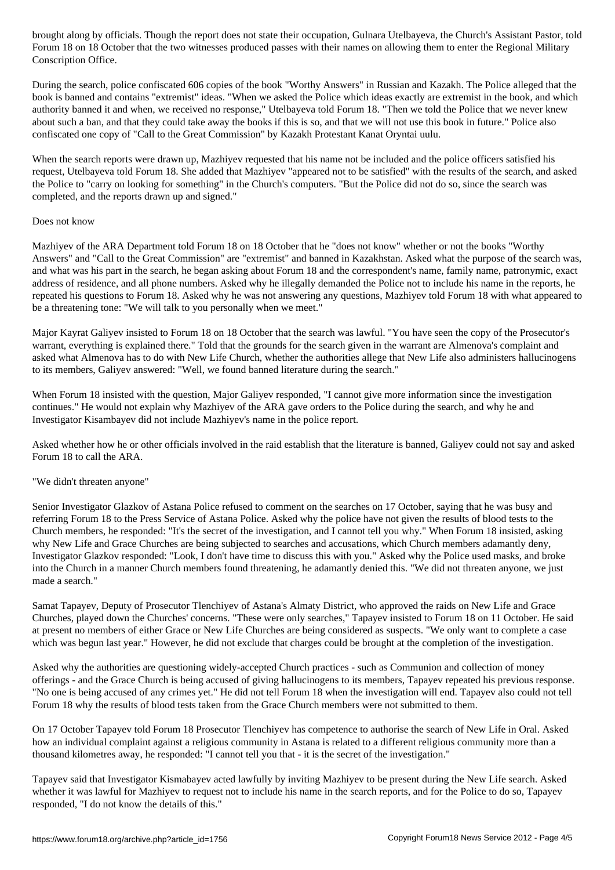Forum 18 on 18 October that the two witnesses produced passes with their names on allowing them to enter the Regional Military Conscription Office.

During the search, police confiscated 606 copies of the book "Worthy Answers" in Russian and Kazakh. The Police alleged that the book is banned and contains "extremist" ideas. "When we asked the Police which ideas exactly are extremist in the book, and which authority banned it and when, we received no response," Utelbayeva told Forum 18. "Then we told the Police that we never knew about such a ban, and that they could take away the books if this is so, and that we will not use this book in future." Police also confiscated one copy of "Call to the Great Commission" by Kazakh Protestant Kanat Oryntai uulu.

When the search reports were drawn up, Mazhiyev requested that his name not be included and the police officers satisfied his request, Utelbayeva told Forum 18. She added that Mazhiyev "appeared not to be satisfied" with the results of the search, and asked the Police to "carry on looking for something" in the Church's computers. "But the Police did not do so, since the search was completed, and the reports drawn up and signed."

# Does not know

Mazhiyev of the ARA Department told Forum 18 on 18 October that he "does not know" whether or not the books "Worthy Answers" and "Call to the Great Commission" are "extremist" and banned in Kazakhstan. Asked what the purpose of the search was, and what was his part in the search, he began asking about Forum 18 and the correspondent's name, family name, patronymic, exact address of residence, and all phone numbers. Asked why he illegally demanded the Police not to include his name in the reports, he repeated his questions to Forum 18. Asked why he was not answering any questions, Mazhiyev told Forum 18 with what appeared to be a threatening tone: "We will talk to you personally when we meet."

Major Kayrat Galiyev insisted to Forum 18 on 18 October that the search was lawful. "You have seen the copy of the Prosecutor's warrant, everything is explained there." Told that the grounds for the search given in the warrant are Almenova's complaint and asked what Almenova has to do with New Life Church, whether the authorities allege that New Life also administers hallucinogens to its members, Galiyev answered: "Well, we found banned literature during the search."

When Forum 18 insisted with the question, Major Galiyev responded, "I cannot give more information since the investigation continues." He would not explain why Mazhiyev of the ARA gave orders to the Police during the search, and why he and Investigator Kisambayev did not include Mazhiyev's name in the police report.

Asked whether how he or other officials involved in the raid establish that the literature is banned, Galiyev could not say and asked Forum 18 to call the ARA.

# "We didn't threaten anyone"

Senior Investigator Glazkov of Astana Police refused to comment on the searches on 17 October, saying that he was busy and referring Forum 18 to the Press Service of Astana Police. Asked why the police have not given the results of blood tests to the Church members, he responded: "It's the secret of the investigation, and I cannot tell you why." When Forum 18 insisted, asking why New Life and Grace Churches are being subjected to searches and accusations, which Church members adamantly deny, Investigator Glazkov responded: "Look, I don't have time to discuss this with you." Asked why the Police used masks, and broke into the Church in a manner Church members found threatening, he adamantly denied this. "We did not threaten anyone, we just made a search."

Samat Tapayev, Deputy of Prosecutor Tlenchiyev of Astana's Almaty District, who approved the raids on New Life and Grace Churches, played down the Churches' concerns. "These were only searches," Tapayev insisted to Forum 18 on 11 October. He said at present no members of either Grace or New Life Churches are being considered as suspects. "We only want to complete a case which was begun last year." However, he did not exclude that charges could be brought at the completion of the investigation.

Asked why the authorities are questioning widely-accepted Church practices - such as Communion and collection of money offerings - and the Grace Church is being accused of giving hallucinogens to its members, Tapayev repeated his previous response. "No one is being accused of any crimes yet." He did not tell Forum 18 when the investigation will end. Tapayev also could not tell Forum 18 why the results of blood tests taken from the Grace Church members were not submitted to them.

On 17 October Tapayev told Forum 18 Prosecutor Tlenchiyev has competence to authorise the search of New Life in Oral. Asked how an individual complaint against a religious community in Astana is related to a different religious community more than a thousand kilometres away, he responded: "I cannot tell you that - it is the secret of the investigation."

Tapayev said that Investigator Kismabayev acted lawfully by inviting Mazhiyev to be present during the New Life search. Asked whether it was lawful for Mazhiyev to request not to include his name in the search reports, and for the Police to do so, Tapayev responded, "I do not know the details of this."